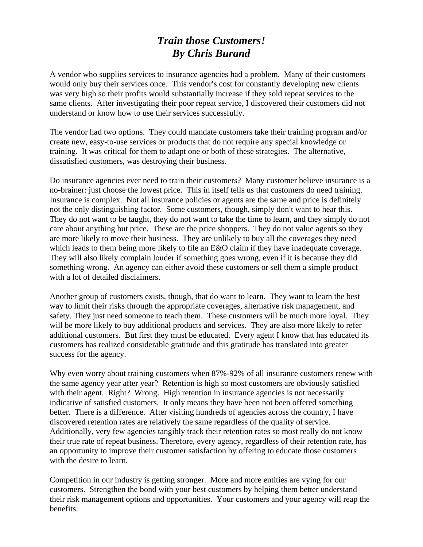## *Train those Customers! By Chris Burand*

A vendor who supplies services to insurance agencies had a problem. Many of their customers would only buy their services once. This vendor's cost for constantly developing new clients was very high so their profits would substantially increase if they sold repeat services to the same clients. After investigating their poor repeat service, I discovered their customers did not understand or know how to use their services successfully.

The vendor had two options. They could mandate customers take their training program and/or create new, easy-to-use services or products that do not require any special knowledge or training. It was critical for them to adapt one or both of these strategies. The alternative, dissatisfied customers, was destroying their business.

Do insurance agencies ever need to train their customers? Many customer believe insurance is a no-brainer: just choose the lowest price. This in itself tells us that customers do need training. Insurance is complex. Not all insurance policies or agents are the same and price is definitely not the only distinguishing factor. Some customers, though, simply don't want to hear this. They do not want to be taught, they do not want to take the time to learn, and they simply do not care about anything but price. These are the price shoppers. They do not value agents so they are more likely to move their business. They are unlikely to buy all the coverages they need which leads to them being more likely to file an E&O claim if they have inadequate coverage. They will also likely complain louder if something goes wrong, even if it is because they did something wrong. An agency can either avoid these customers or sell them a simple product with a lot of detailed disclaimers.

Another group of customers exists, though, that do want to learn. They want to learn the best way to limit their risks through the appropriate coverages, alternative risk management, and safety. They just need someone to teach them. These customers will be much more loyal. They will be more likely to buy additional products and services. They are also more likely to refer additional customers. But first they must be educated. Every agent I know that has educated its customers has realized considerable gratitude and this gratitude has translated into greater success for the agency.

Why even worry about training customers when  $87\% - 92\%$  of all insurance customers renew with the same agency year after year? Retention is high so most customers are obviously satisfied with their agent. Right? Wrong. High retention in insurance agencies is not necessarily indicative of satisfied customers. It only means they have been not been offered something better. There is a difference. After visiting hundreds of agencies across the country, I have discovered retention rates are relatively the same regardless of the quality of service. Additionally, very few agencies tangibly track their retention rates so most really do not know their true rate of repeat business. Therefore, every agency, regardless of their retention rate, has an opportunity to improve their customer satisfaction by offering to educate those customers with the desire to learn.

Competition in our industry is getting stronger. More and more entities are vying for our customers. Strengthen the bond with your best customers by helping them better understand their risk management options and opportunities. Your customers and your agency will reap the benefits.